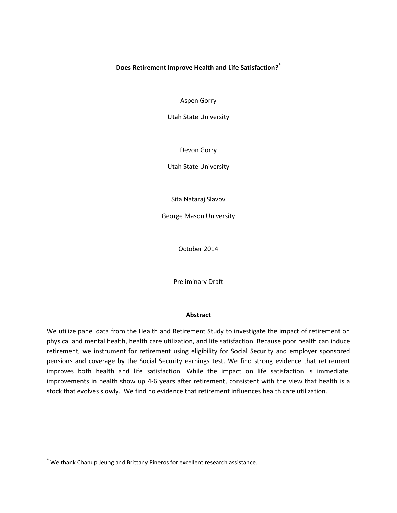# **Does Retirement Improve Health and Life Satisfaction? \***

Aspen Gorry

Utah State University

Devon Gorry

Utah State University

Sita Nataraj Slavov

George Mason University

October 2014

Preliminary Draft

### **Abstract**

We utilize panel data from the Health and Retirement Study to investigate the impact of retirement on physical and mental health, health care utilization, and life satisfaction. Because poor health can induce retirement, we instrument for retirement using eligibility for Social Security and employer sponsored pensions and coverage by the Social Security earnings test. We find strong evidence that retirement improves both health and life satisfaction. While the impact on life satisfaction is immediate, improvements in health show up 4-6 years after retirement, consistent with the view that health is a stock that evolves slowly. We find no evidence that retirement influences health care utilization.

<sup>\*</sup> We thank Chanup Jeung and Brittany Pineros for excellent research assistance.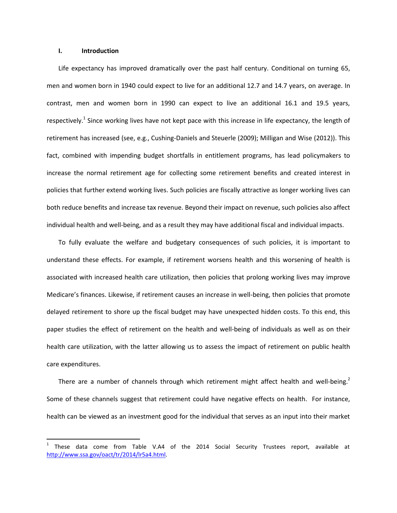#### **I. Introduction**

 $\overline{\phantom{a}}$ 

Life expectancy has improved dramatically over the past half century. Conditional on turning 65, men and women born in 1940 could expect to live for an additional 12.7 and 14.7 years, on average. In contrast, men and women born in 1990 can expect to live an additional 16.1 and 19.5 years, respectively.<sup>1</sup> Since working lives have not kept pace with this increase in life expectancy, the length of retirement has increased (see, e.g., Cushing-Daniels and Steuerle (2009); Milligan and Wise (2012)). This fact, combined with impending budget shortfalls in entitlement programs, has lead policymakers to increase the normal retirement age for collecting some retirement benefits and created interest in policies that further extend working lives. Such policies are fiscally attractive as longer working lives can both reduce benefits and increase tax revenue. Beyond their impact on revenue, such policies also affect individual health and well-being, and as a result they may have additional fiscal and individual impacts.

To fully evaluate the welfare and budgetary consequences of such policies, it is important to understand these effects. For example, if retirement worsens health and this worsening of health is associated with increased health care utilization, then policies that prolong working lives may improve Medicare's finances. Likewise, if retirement causes an increase in well-being, then policies that promote delayed retirement to shore up the fiscal budget may have unexpected hidden costs. To this end, this paper studies the effect of retirement on the health and well-being of individuals as well as on their health care utilization, with the latter allowing us to assess the impact of retirement on public health care expenditures.

There are a number of channels through which retirement might affect health and well-being.<sup>2</sup> Some of these channels suggest that retirement could have negative effects on health. For instance, health can be viewed as an investment good for the individual that serves as an input into their market

<sup>1</sup> These data come from Table V.A4 of the 2014 Social Security Trustees report, available at [http://www.ssa.gov/oact/tr/2014/lr5a4.html.](http://www.ssa.gov/oact/tr/2014/lr5a4.html)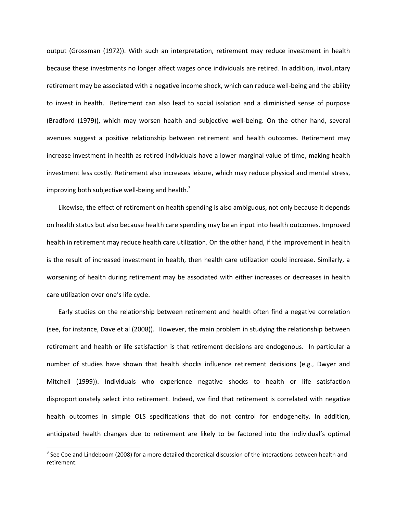output (Grossman (1972)). With such an interpretation, retirement may reduce investment in health because these investments no longer affect wages once individuals are retired. In addition, involuntary retirement may be associated with a negative income shock, which can reduce well-being and the ability to invest in health. Retirement can also lead to social isolation and a diminished sense of purpose (Bradford (1979)), which may worsen health and subjective well-being. On the other hand, several avenues suggest a positive relationship between retirement and health outcomes. Retirement may increase investment in health as retired individuals have a lower marginal value of time, making health investment less costly. Retirement also increases leisure, which may reduce physical and mental stress, improving both subjective well-being and health. $^3$ 

Likewise, the effect of retirement on health spending is also ambiguous, not only because it depends on health status but also because health care spending may be an input into health outcomes. Improved health in retirement may reduce health care utilization. On the other hand, if the improvement in health is the result of increased investment in health, then health care utilization could increase. Similarly, a worsening of health during retirement may be associated with either increases or decreases in health care utilization over one's life cycle.

Early studies on the relationship between retirement and health often find a negative correlation (see, for instance, Dave et al (2008)). However, the main problem in studying the relationship between retirement and health or life satisfaction is that retirement decisions are endogenous. In particular a number of studies have shown that health shocks influence retirement decisions (e.g., Dwyer and Mitchell (1999)). Individuals who experience negative shocks to health or life satisfaction disproportionately select into retirement. Indeed, we find that retirement is correlated with negative health outcomes in simple OLS specifications that do not control for endogeneity. In addition, anticipated health changes due to retirement are likely to be factored into the individual's optimal

l

 $3$  See Coe and Lindeboom (2008) for a more detailed theoretical discussion of the interactions between health and retirement.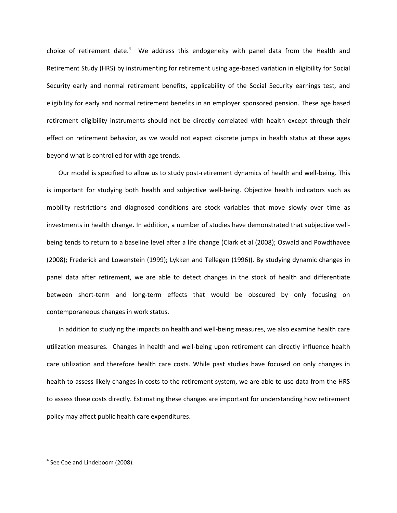choice of retirement date.<sup>4</sup> We address this endogeneity with panel data from the Health and Retirement Study (HRS) by instrumenting for retirement using age-based variation in eligibility for Social Security early and normal retirement benefits, applicability of the Social Security earnings test, and eligibility for early and normal retirement benefits in an employer sponsored pension. These age based retirement eligibility instruments should not be directly correlated with health except through their effect on retirement behavior, as we would not expect discrete jumps in health status at these ages beyond what is controlled for with age trends.

Our model is specified to allow us to study post-retirement dynamics of health and well-being. This is important for studying both health and subjective well-being. Objective health indicators such as mobility restrictions and diagnosed conditions are stock variables that move slowly over time as investments in health change. In addition, a number of studies have demonstrated that subjective wellbeing tends to return to a baseline level after a life change (Clark et al (2008); Oswald and Powdthavee (2008); Frederick and Lowenstein (1999); Lykken and Tellegen (1996)). By studying dynamic changes in panel data after retirement, we are able to detect changes in the stock of health and differentiate between short-term and long-term effects that would be obscured by only focusing on contemporaneous changes in work status.

In addition to studying the impacts on health and well-being measures, we also examine health care utilization measures. Changes in health and well-being upon retirement can directly influence health care utilization and therefore health care costs. While past studies have focused on only changes in health to assess likely changes in costs to the retirement system, we are able to use data from the HRS to assess these costs directly. Estimating these changes are important for understanding how retirement policy may affect public health care expenditures.

 $<sup>4</sup>$  See Coe and Lindeboom (2008).</sup>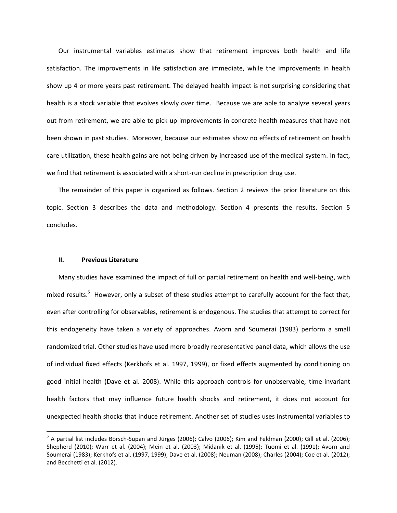Our instrumental variables estimates show that retirement improves both health and life satisfaction. The improvements in life satisfaction are immediate, while the improvements in health show up 4 or more years past retirement. The delayed health impact is not surprising considering that health is a stock variable that evolves slowly over time. Because we are able to analyze several years out from retirement, we are able to pick up improvements in concrete health measures that have not been shown in past studies. Moreover, because our estimates show no effects of retirement on health care utilization, these health gains are not being driven by increased use of the medical system. In fact, we find that retirement is associated with a short-run decline in prescription drug use.

The remainder of this paper is organized as follows. Section 2 reviews the prior literature on this topic. Section 3 describes the data and methodology. Section 4 presents the results. Section 5 concludes.

### **II. Previous Literature**

 $\overline{a}$ 

Many studies have examined the impact of full or partial retirement on health and well-being, with mixed results.<sup>5</sup> However, only a subset of these studies attempt to carefully account for the fact that, even after controlling for observables, retirement is endogenous. The studies that attempt to correct for this endogeneity have taken a variety of approaches. Avorn and Soumerai (1983) perform a small randomized trial. Other studies have used more broadly representative panel data, which allows the use of individual fixed effects (Kerkhofs et al. 1997, 1999), or fixed effects augmented by conditioning on good initial health (Dave et al. 2008). While this approach controls for unobservable, time-invariant health factors that may influence future health shocks and retirement, it does not account for unexpected health shocks that induce retirement. Another set of studies uses instrumental variables to

<sup>&</sup>lt;sup>5</sup> A partial list includes Börsch-Supan and Jürges (2006); Calvo (2006); Kim and Feldman (2000); Gill et al. (2006); Shepherd (2010); Warr et al. (2004); Mein et al. (2003); Midanik et al. (1995); Tuomi et al. (1991); Avorn and Soumerai (1983); Kerkhofs et al. (1997, 1999); Dave et al. (2008); Neuman (2008); Charles (2004); Coe et al. (2012); and Becchetti et al. (2012).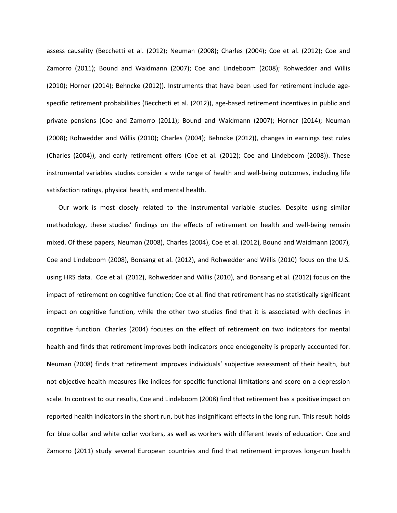assess causality (Becchetti et al. (2012); Neuman (2008); Charles (2004); Coe et al. (2012); Coe and Zamorro (2011); Bound and Waidmann (2007); Coe and Lindeboom (2008); Rohwedder and Willis (2010); Horner (2014); Behncke (2012)). Instruments that have been used for retirement include agespecific retirement probabilities (Becchetti et al. (2012)), age-based retirement incentives in public and private pensions (Coe and Zamorro (2011); Bound and Waidmann (2007); Horner (2014); Neuman (2008); Rohwedder and Willis (2010); Charles (2004); Behncke (2012)), changes in earnings test rules (Charles (2004)), and early retirement offers (Coe et al. (2012); Coe and Lindeboom (2008)). These instrumental variables studies consider a wide range of health and well-being outcomes, including life satisfaction ratings, physical health, and mental health.

Our work is most closely related to the instrumental variable studies. Despite using similar methodology, these studies' findings on the effects of retirement on health and well-being remain mixed. Of these papers, Neuman (2008), Charles (2004), Coe et al. (2012), Bound and Waidmann (2007), Coe and Lindeboom (2008), Bonsang et al. (2012), and Rohwedder and Willis (2010) focus on the U.S. using HRS data. Coe et al. (2012), Rohwedder and Willis (2010), and Bonsang et al. (2012) focus on the impact of retirement on cognitive function; Coe et al. find that retirement has no statistically significant impact on cognitive function, while the other two studies find that it is associated with declines in cognitive function. Charles (2004) focuses on the effect of retirement on two indicators for mental health and finds that retirement improves both indicators once endogeneity is properly accounted for. Neuman (2008) finds that retirement improves individuals' subjective assessment of their health, but not objective health measures like indices for specific functional limitations and score on a depression scale. In contrast to our results, Coe and Lindeboom (2008) find that retirement has a positive impact on reported health indicators in the short run, but has insignificant effects in the long run. This result holds for blue collar and white collar workers, as well as workers with different levels of education. Coe and Zamorro (2011) study several European countries and find that retirement improves long-run health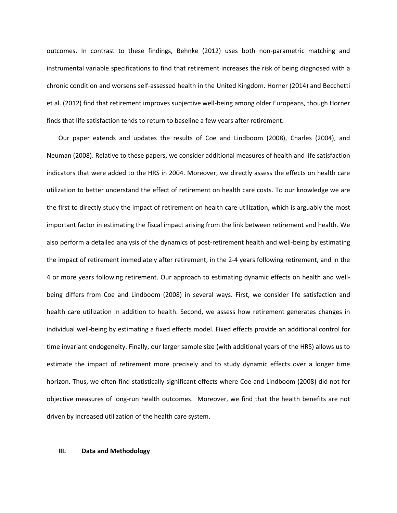outcomes. In contrast to these findings, Behnke (2012) uses both non-parametric matching and instrumental variable specifications to find that retirement increases the risk of being diagnosed with a chronic condition and worsens self-assessed health in the United Kingdom. Horner (2014) and Becchetti et al. (2012) find that retirement improves subjective well-being among older Europeans, though Horner finds that life satisfaction tends to return to baseline a few years after retirement.

Our paper extends and updates the results of Coe and Lindboom (2008), Charles (2004), and Neuman (2008). Relative to these papers, we consider additional measures of health and life satisfaction indicators that were added to the HRS in 2004. Moreover, we directly assess the effects on health care utilization to better understand the effect of retirement on health care costs. To our knowledge we are the first to directly study the impact of retirement on health care utilization, which is arguably the most important factor in estimating the fiscal impact arising from the link between retirement and health. We also perform a detailed analysis of the dynamics of post-retirement health and well-being by estimating the impact of retirement immediately after retirement, in the 2-4 years following retirement, and in the 4 or more years following retirement. Our approach to estimating dynamic effects on health and wellbeing differs from Coe and Lindboom (2008) in several ways. First, we consider life satisfaction and health care utilization in addition to health. Second, we assess how retirement generates changes in individual well-being by estimating a fixed effects model. Fixed effects provide an additional control for time invariant endogeneity. Finally, our larger sample size (with additional years of the HRS) allows us to estimate the impact of retirement more precisely and to study dynamic effects over a longer time horizon. Thus, we often find statistically significant effects where Coe and Lindboom (2008) did not for objective measures of long-run health outcomes. Moreover, we find that the health benefits are not driven by increased utilization of the health care system.

#### **III. Data and Methodology**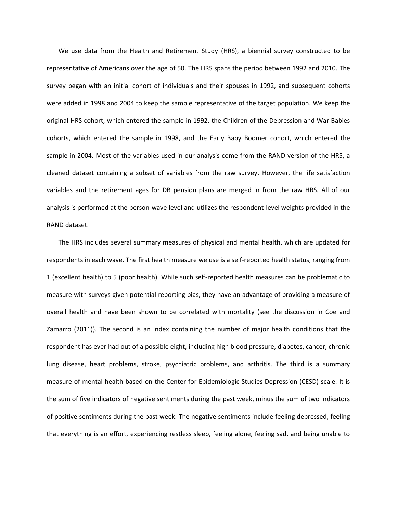We use data from the Health and Retirement Study (HRS), a biennial survey constructed to be representative of Americans over the age of 50. The HRS spans the period between 1992 and 2010. The survey began with an initial cohort of individuals and their spouses in 1992, and subsequent cohorts were added in 1998 and 2004 to keep the sample representative of the target population. We keep the original HRS cohort, which entered the sample in 1992, the Children of the Depression and War Babies cohorts, which entered the sample in 1998, and the Early Baby Boomer cohort, which entered the sample in 2004. Most of the variables used in our analysis come from the RAND version of the HRS, a cleaned dataset containing a subset of variables from the raw survey. However, the life satisfaction variables and the retirement ages for DB pension plans are merged in from the raw HRS. All of our analysis is performed at the person-wave level and utilizes the respondent-level weights provided in the RAND dataset.

The HRS includes several summary measures of physical and mental health, which are updated for respondents in each wave. The first health measure we use is a self-reported health status, ranging from 1 (excellent health) to 5 (poor health). While such self-reported health measures can be problematic to measure with surveys given potential reporting bias, they have an advantage of providing a measure of overall health and have been shown to be correlated with mortality (see the discussion in Coe and Zamarro (2011)). The second is an index containing the number of major health conditions that the respondent has ever had out of a possible eight, including high blood pressure, diabetes, cancer, chronic lung disease, heart problems, stroke, psychiatric problems, and arthritis. The third is a summary measure of mental health based on the Center for Epidemiologic Studies Depression (CESD) scale. It is the sum of five indicators of negative sentiments during the past week, minus the sum of two indicators of positive sentiments during the past week. The negative sentiments include feeling depressed, feeling that everything is an effort, experiencing restless sleep, feeling alone, feeling sad, and being unable to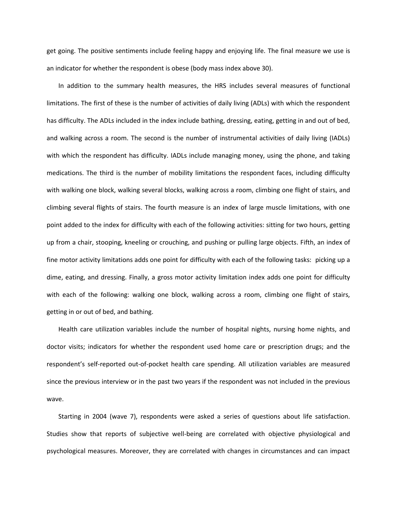get going. The positive sentiments include feeling happy and enjoying life. The final measure we use is an indicator for whether the respondent is obese (body mass index above 30).

In addition to the summary health measures, the HRS includes several measures of functional limitations. The first of these is the number of activities of daily living (ADLs) with which the respondent has difficulty. The ADLs included in the index include bathing, dressing, eating, getting in and out of bed, and walking across a room. The second is the number of instrumental activities of daily living (IADLs) with which the respondent has difficulty. IADLs include managing money, using the phone, and taking medications. The third is the number of mobility limitations the respondent faces, including difficulty with walking one block, walking several blocks, walking across a room, climbing one flight of stairs, and climbing several flights of stairs. The fourth measure is an index of large muscle limitations, with one point added to the index for difficulty with each of the following activities: sitting for two hours, getting up from a chair, stooping, kneeling or crouching, and pushing or pulling large objects. Fifth, an index of fine motor activity limitations adds one point for difficulty with each of the following tasks: picking up a dime, eating, and dressing. Finally, a gross motor activity limitation index adds one point for difficulty with each of the following: walking one block, walking across a room, climbing one flight of stairs, getting in or out of bed, and bathing.

Health care utilization variables include the number of hospital nights, nursing home nights, and doctor visits; indicators for whether the respondent used home care or prescription drugs; and the respondent's self-reported out-of-pocket health care spending. All utilization variables are measured since the previous interview or in the past two years if the respondent was not included in the previous wave.

Starting in 2004 (wave 7), respondents were asked a series of questions about life satisfaction. Studies show that reports of subjective well-being are correlated with objective physiological and psychological measures. Moreover, they are correlated with changes in circumstances and can impact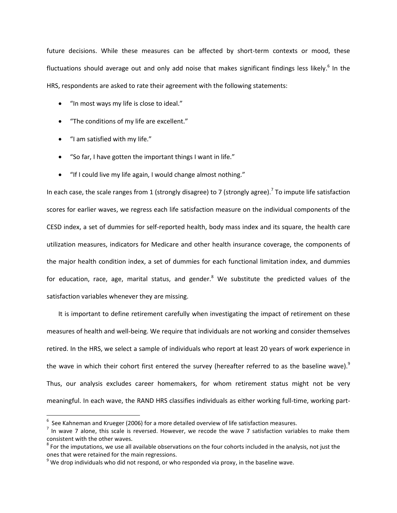future decisions. While these measures can be affected by short-term contexts or mood, these fluctuations should average out and only add noise that makes significant findings less likely.<sup>6</sup> In the HRS, respondents are asked to rate their agreement with the following statements:

- "In most ways my life is close to ideal."
- "The conditions of my life are excellent."
- "I am satisfied with my life."

 $\overline{a}$ 

- "So far, I have gotten the important things I want in life."
- "If I could live my life again, I would change almost nothing."

In each case, the scale ranges from 1 (strongly disagree) to 7 (strongly agree).<sup>7</sup> To impute life satisfaction scores for earlier waves, we regress each life satisfaction measure on the individual components of the CESD index, a set of dummies for self-reported health, body mass index and its square, the health care utilization measures, indicators for Medicare and other health insurance coverage, the components of the major health condition index, a set of dummies for each functional limitation index, and dummies for education, race, age, marital status, and gender.<sup>8</sup> We substitute the predicted values of the satisfaction variables whenever they are missing.

It is important to define retirement carefully when investigating the impact of retirement on these measures of health and well-being. We require that individuals are not working and consider themselves retired. In the HRS, we select a sample of individuals who report at least 20 years of work experience in the wave in which their cohort first entered the survey (hereafter referred to as the baseline wave). $9$ Thus, our analysis excludes career homemakers, for whom retirement status might not be very meaningful. In each wave, the RAND HRS classifies individuals as either working full-time, working part-

 $^6$  See Kahneman and Krueger (2006) for a more detailed overview of life satisfaction measures.

 $^7$  In wave 7 alone, this scale is reversed. However, we recode the wave 7 satisfaction variables to make them consistent with the other waves.

 $^8$  For the imputations, we use all available observations on the four cohorts included in the analysis, not just the ones that were retained for the main regressions.

 $9$  We drop individuals who did not respond, or who responded via proxy, in the baseline wave.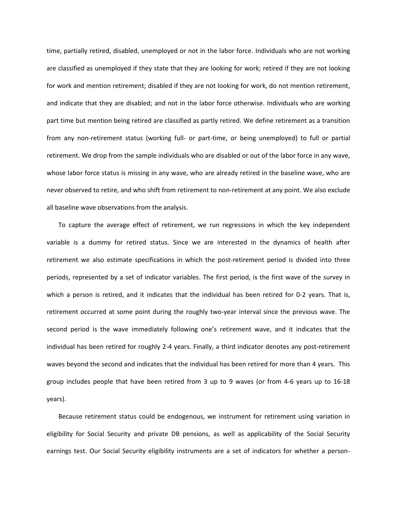time, partially retired, disabled, unemployed or not in the labor force. Individuals who are not working are classified as unemployed if they state that they are looking for work; retired if they are not looking for work and mention retirement; disabled if they are not looking for work, do not mention retirement, and indicate that they are disabled; and not in the labor force otherwise. Individuals who are working part time but mention being retired are classified as partly retired. We define retirement as a transition from any non-retirement status (working full- or part-time, or being unemployed) to full or partial retirement. We drop from the sample individuals who are disabled or out of the labor force in any wave, whose labor force status is missing in any wave, who are already retired in the baseline wave, who are never observed to retire, and who shift from retirement to non-retirement at any point. We also exclude all baseline wave observations from the analysis.

To capture the average effect of retirement, we run regressions in which the key independent variable is a dummy for retired status. Since we are interested in the dynamics of health after retirement we also estimate specifications in which the post-retirement period is divided into three periods, represented by a set of indicator variables. The first period, is the first wave of the survey in which a person is retired, and it indicates that the individual has been retired for 0-2 years. That is, retirement occurred at some point during the roughly two-year interval since the previous wave. The second period is the wave immediately following one's retirement wave, and it indicates that the individual has been retired for roughly 2-4 years. Finally, a third indicator denotes any post-retirement waves beyond the second and indicates that the individual has been retired for more than 4 years. This group includes people that have been retired from 3 up to 9 waves (or from 4-6 years up to 16-18 years).

Because retirement status could be endogenous, we instrument for retirement using variation in eligibility for Social Security and private DB pensions, as well as applicability of the Social Security earnings test. Our Social Security eligibility instruments are a set of indicators for whether a person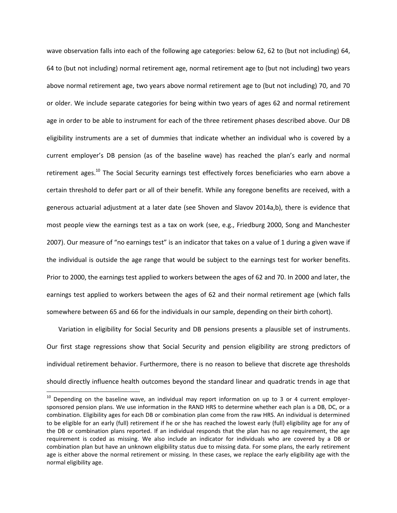wave observation falls into each of the following age categories: below 62, 62 to (but not including) 64, 64 to (but not including) normal retirement age, normal retirement age to (but not including) two years above normal retirement age, two years above normal retirement age to (but not including) 70, and 70 or older. We include separate categories for being within two years of ages 62 and normal retirement age in order to be able to instrument for each of the three retirement phases described above. Our DB eligibility instruments are a set of dummies that indicate whether an individual who is covered by a current employer's DB pension (as of the baseline wave) has reached the plan's early and normal retirement ages.<sup>10</sup> The Social Security earnings test effectively forces beneficiaries who earn above a certain threshold to defer part or all of their benefit. While any foregone benefits are received, with a generous actuarial adjustment at a later date (see Shoven and Slavov 2014a,b), there is evidence that most people view the earnings test as a tax on work (see, e.g., Friedburg 2000, Song and Manchester 2007). Our measure of "no earnings test" is an indicator that takes on a value of 1 during a given wave if the individual is outside the age range that would be subject to the earnings test for worker benefits. Prior to 2000, the earnings test applied to workers between the ages of 62 and 70. In 2000 and later, the earnings test applied to workers between the ages of 62 and their normal retirement age (which falls somewhere between 65 and 66 for the individuals in our sample, depending on their birth cohort).

Variation in eligibility for Social Security and DB pensions presents a plausible set of instruments. Our first stage regressions show that Social Security and pension eligibility are strong predictors of individual retirement behavior. Furthermore, there is no reason to believe that discrete age thresholds should directly influence health outcomes beyond the standard linear and quadratic trends in age that

<sup>&</sup>lt;sup>10</sup> Depending on the baseline wave, an individual may report information on up to 3 or 4 current employersponsored pension plans. We use information in the RAND HRS to determine whether each plan is a DB, DC, or a combination. Eligibility ages for each DB or combination plan come from the raw HRS. An individual is determined to be eligible for an early (full) retirement if he or she has reached the lowest early (full) eligibility age for any of the DB or combination plans reported. If an individual responds that the plan has no age requirement, the age requirement is coded as missing. We also include an indicator for individuals who are covered by a DB or combination plan but have an unknown eligibility status due to missing data. For some plans, the early retirement age is either above the normal retirement or missing. In these cases, we replace the early eligibility age with the normal eligibility age.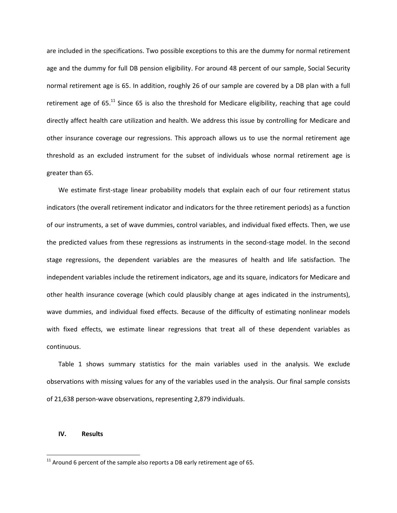are included in the specifications. Two possible exceptions to this are the dummy for normal retirement age and the dummy for full DB pension eligibility. For around 48 percent of our sample, Social Security normal retirement age is 65. In addition, roughly 26 of our sample are covered by a DB plan with a full retirement age of  $65$ <sup>11</sup> Since  $65$  is also the threshold for Medicare eligibility, reaching that age could directly affect health care utilization and health. We address this issue by controlling for Medicare and other insurance coverage our regressions. This approach allows us to use the normal retirement age threshold as an excluded instrument for the subset of individuals whose normal retirement age is greater than 65.

We estimate first-stage linear probability models that explain each of our four retirement status indicators (the overall retirement indicator and indicators for the three retirement periods) as a function of our instruments, a set of wave dummies, control variables, and individual fixed effects. Then, we use the predicted values from these regressions as instruments in the second-stage model. In the second stage regressions, the dependent variables are the measures of health and life satisfaction. The independent variables include the retirement indicators, age and its square, indicators for Medicare and other health insurance coverage (which could plausibly change at ages indicated in the instruments), wave dummies, and individual fixed effects. Because of the difficulty of estimating nonlinear models with fixed effects, we estimate linear regressions that treat all of these dependent variables as continuous.

Table 1 shows summary statistics for the main variables used in the analysis. We exclude observations with missing values for any of the variables used in the analysis. Our final sample consists of 21,638 person-wave observations, representing 2,879 individuals.

#### **IV. Results**

 $11$  Around 6 percent of the sample also reports a DB early retirement age of 65.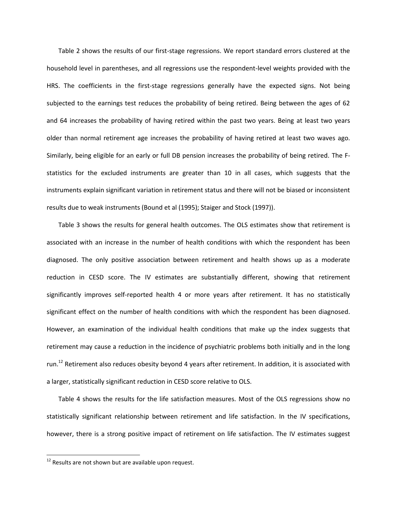Table 2 shows the results of our first-stage regressions. We report standard errors clustered at the household level in parentheses, and all regressions use the respondent-level weights provided with the HRS. The coefficients in the first-stage regressions generally have the expected signs. Not being subjected to the earnings test reduces the probability of being retired. Being between the ages of 62 and 64 increases the probability of having retired within the past two years. Being at least two years older than normal retirement age increases the probability of having retired at least two waves ago. Similarly, being eligible for an early or full DB pension increases the probability of being retired. The Fstatistics for the excluded instruments are greater than 10 in all cases, which suggests that the instruments explain significant variation in retirement status and there will not be biased or inconsistent results due to weak instruments (Bound et al (1995); Staiger and Stock (1997)).

Table 3 shows the results for general health outcomes. The OLS estimates show that retirement is associated with an increase in the number of health conditions with which the respondent has been diagnosed. The only positive association between retirement and health shows up as a moderate reduction in CESD score. The IV estimates are substantially different, showing that retirement significantly improves self-reported health 4 or more years after retirement. It has no statistically significant effect on the number of health conditions with which the respondent has been diagnosed. However, an examination of the individual health conditions that make up the index suggests that retirement may cause a reduction in the incidence of psychiatric problems both initially and in the long run.<sup>12</sup> Retirement also reduces obesity beyond 4 years after retirement. In addition, it is associated with a larger, statistically significant reduction in CESD score relative to OLS.

Table 4 shows the results for the life satisfaction measures. Most of the OLS regressions show no statistically significant relationship between retirement and life satisfaction. In the IV specifications, however, there is a strong positive impact of retirement on life satisfaction. The IV estimates suggest

 $12$  Results are not shown but are available upon request.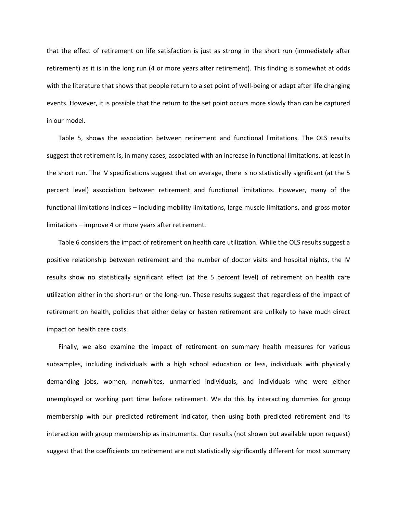that the effect of retirement on life satisfaction is just as strong in the short run (immediately after retirement) as it is in the long run (4 or more years after retirement). This finding is somewhat at odds with the literature that shows that people return to a set point of well-being or adapt after life changing events. However, it is possible that the return to the set point occurs more slowly than can be captured in our model.

Table 5, shows the association between retirement and functional limitations. The OLS results suggest that retirement is, in many cases, associated with an increase in functional limitations, at least in the short run. The IV specifications suggest that on average, there is no statistically significant (at the 5 percent level) association between retirement and functional limitations. However, many of the functional limitations indices – including mobility limitations, large muscle limitations, and gross motor limitations – improve 4 or more years after retirement.

Table 6 considers the impact of retirement on health care utilization. While the OLS results suggest a positive relationship between retirement and the number of doctor visits and hospital nights, the IV results show no statistically significant effect (at the 5 percent level) of retirement on health care utilization either in the short-run or the long-run. These results suggest that regardless of the impact of retirement on health, policies that either delay or hasten retirement are unlikely to have much direct impact on health care costs.

Finally, we also examine the impact of retirement on summary health measures for various subsamples, including individuals with a high school education or less, individuals with physically demanding jobs, women, nonwhites, unmarried individuals, and individuals who were either unemployed or working part time before retirement. We do this by interacting dummies for group membership with our predicted retirement indicator, then using both predicted retirement and its interaction with group membership as instruments. Our results (not shown but available upon request) suggest that the coefficients on retirement are not statistically significantly different for most summary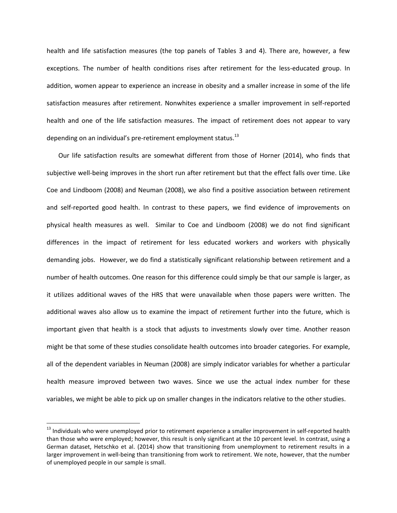health and life satisfaction measures (the top panels of Tables 3 and 4). There are, however, a few exceptions. The number of health conditions rises after retirement for the less-educated group. In addition, women appear to experience an increase in obesity and a smaller increase in some of the life satisfaction measures after retirement. Nonwhites experience a smaller improvement in self-reported health and one of the life satisfaction measures. The impact of retirement does not appear to vary depending on an individual's pre-retirement employment status.<sup>13</sup>

Our life satisfaction results are somewhat different from those of Horner (2014), who finds that subjective well-being improves in the short run after retirement but that the effect falls over time. Like Coe and Lindboom (2008) and Neuman (2008), we also find a positive association between retirement and self-reported good health. In contrast to these papers, we find evidence of improvements on physical health measures as well. Similar to Coe and Lindboom (2008) we do not find significant differences in the impact of retirement for less educated workers and workers with physically demanding jobs. However, we do find a statistically significant relationship between retirement and a number of health outcomes. One reason for this difference could simply be that our sample is larger, as it utilizes additional waves of the HRS that were unavailable when those papers were written. The additional waves also allow us to examine the impact of retirement further into the future, which is important given that health is a stock that adjusts to investments slowly over time. Another reason might be that some of these studies consolidate health outcomes into broader categories. For example, all of the dependent variables in Neuman (2008) are simply indicator variables for whether a particular health measure improved between two waves. Since we use the actual index number for these variables, we might be able to pick up on smaller changes in the indicators relative to the other studies.

l

<sup>&</sup>lt;sup>13</sup> Individuals who were unemployed prior to retirement experience a smaller improvement in self-reported health than those who were employed; however, this result is only significant at the 10 percent level. In contrast, using a German dataset, Hetschko et al. (2014) show that transitioning from unemployment to retirement results in a larger improvement in well-being than transitioning from work to retirement. We note, however, that the number of unemployed people in our sample is small.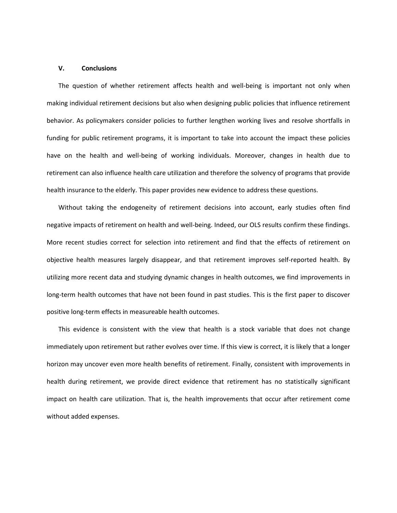#### **V. Conclusions**

The question of whether retirement affects health and well-being is important not only when making individual retirement decisions but also when designing public policies that influence retirement behavior. As policymakers consider policies to further lengthen working lives and resolve shortfalls in funding for public retirement programs, it is important to take into account the impact these policies have on the health and well-being of working individuals. Moreover, changes in health due to retirement can also influence health care utilization and therefore the solvency of programs that provide health insurance to the elderly. This paper provides new evidence to address these questions.

Without taking the endogeneity of retirement decisions into account, early studies often find negative impacts of retirement on health and well-being. Indeed, our OLS results confirm these findings. More recent studies correct for selection into retirement and find that the effects of retirement on objective health measures largely disappear, and that retirement improves self-reported health. By utilizing more recent data and studying dynamic changes in health outcomes, we find improvements in long-term health outcomes that have not been found in past studies. This is the first paper to discover positive long-term effects in measureable health outcomes.

This evidence is consistent with the view that health is a stock variable that does not change immediately upon retirement but rather evolves over time. If this view is correct, it is likely that a longer horizon may uncover even more health benefits of retirement. Finally, consistent with improvements in health during retirement, we provide direct evidence that retirement has no statistically significant impact on health care utilization. That is, the health improvements that occur after retirement come without added expenses.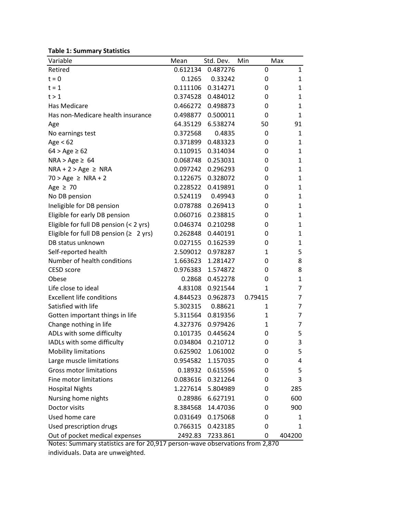**Table 1: Summary Statistics**

| Variable                                     | Mean     | Std. Dev.         | Min          | Max          |
|----------------------------------------------|----------|-------------------|--------------|--------------|
| Retired                                      |          | 0.612134 0.487276 | 0            | $\mathbf{1}$ |
| $t = 0$                                      | 0.1265   | 0.33242           | 0            | 1            |
| $t = 1$                                      | 0.111106 | 0.314271          | 0            | 1            |
| t > 1                                        | 0.374528 | 0.484012          | 0            | 1            |
| Has Medicare                                 | 0.466272 | 0.498873          | 0            | 1            |
| Has non-Medicare health insurance            | 0.498877 | 0.500011          | 0            | $\mathbf{1}$ |
| Age                                          | 64.35129 | 6.538274          | 50           | 91           |
| No earnings test                             | 0.372568 | 0.4835            | 0            | 1            |
| Age $< 62$                                   | 0.371899 | 0.483323          | 0            | 1            |
| $64 > Age \ge 62$                            | 0.110915 | 0.314034          | 0            | 1            |
| $NRA > Age \geq 64$                          | 0.068748 | 0.253031          | 0            | 1            |
| $NRA + 2 > Age \ge NRA$                      | 0.097242 | 0.296293          | 0            | 1            |
| $70 > Age \geq NRA + 2$                      | 0.122675 | 0.328072          | 0            | 1            |
| Age $\geq 70$                                |          | 0.228522 0.419891 | 0            | 1            |
| No DB pension                                | 0.524119 | 0.49943           | 0            | 1            |
| Ineligible for DB pension                    | 0.078788 | 0.269413          | 0            | 1            |
| Eligible for early DB pension                | 0.060716 | 0.238815          | 0            | 1            |
| Eligible for full DB pension (< 2 yrs)       | 0.046374 | 0.210298          | 0            | 1            |
| Eligible for full DB pension ( $\geq 2$ yrs) | 0.262848 | 0.440191          | 0            | 1            |
| DB status unknown                            | 0.027155 | 0.162539          | 0            | 1            |
| Self-reported health                         | 2.509012 | 0.978287          | 1            | 5            |
| Number of health conditions                  | 1.663623 | 1.281427          | 0            | 8            |
| CESD score                                   | 0.976383 | 1.574872          | 0            | 8            |
| Obese                                        | 0.2868   | 0.452278          | 0            | 1            |
| Life close to ideal                          | 4.83108  | 0.921544          | $\mathbf{1}$ | 7            |
| <b>Excellent life conditions</b>             | 4.844523 | 0.962873          | 0.79415      | 7            |
| Satisfied with life                          | 5.302315 | 0.88621           | 1            | 7            |
| Gotten important things in life              | 5.311564 | 0.819356          | 1            | 7            |
| Change nothing in life                       | 4.327376 | 0.979426          | 1            | 7            |
| ADLs with some difficulty                    | 0.101735 | 0.445624          | 0            | 5            |
| IADLs with some difficulty                   | 0.034804 | 0.210712          | 0            | 3            |
| <b>Mobility limitations</b>                  | 0.625902 | 1.061002          | 0            | 5            |
| Large muscle limitations                     | 0.954582 | 1.157035          | 0            | 4            |
| <b>Gross motor limitations</b>               | 0.18932  | 0.615596          | 0            | 5            |
| Fine motor limitations                       | 0.083616 | 0.321264          | 0            | 3            |
| <b>Hospital Nights</b>                       | 1.227614 | 5.804989          | 0            | 285          |
| Nursing home nights                          | 0.28986  | 6.627191          | 0            | 600          |
| Doctor visits                                | 8.384568 | 14.47036          | 0            | 900          |
| Used home care                               | 0.031649 | 0.175068          | 0            | 1            |
| Used prescription drugs                      | 0.766315 | 0.423185          | 0            | 1            |
| Out of pocket medical expenses               | 2492.83  | 7233.861          | 0            | 404200       |

Notes: Summary statistics are for 20,917 person-wave observations from 2,870 individuals. Data are unweighted.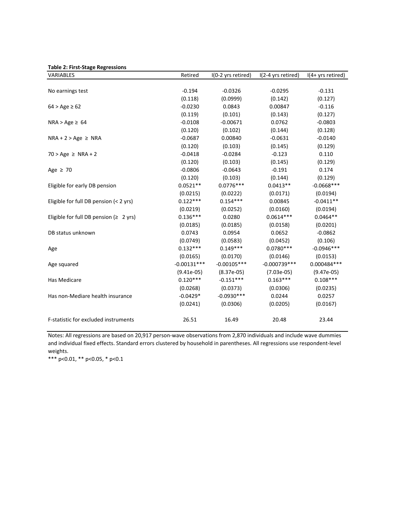|  |  | <b>Table 2: First-Stage Regressions</b> |
|--|--|-----------------------------------------|
|--|--|-----------------------------------------|

| Table 2. First-stage negressions<br>VARIABLES | Retired       | I(0-2 yrs retired) | I(2-4 yrs retired) | $I(4+yrs$ retired) |
|-----------------------------------------------|---------------|--------------------|--------------------|--------------------|
|                                               |               |                    |                    |                    |
| No earnings test                              | $-0.194$      | $-0.0326$          | $-0.0295$          | $-0.131$           |
|                                               | (0.118)       | (0.0999)           | (0.142)            | (0.127)            |
| $64 > Age \ge 62$                             | $-0.0230$     | 0.0843             | 0.00847            | $-0.116$           |
|                                               | (0.119)       | (0.101)            | (0.143)            | (0.127)            |
| $NRA > Age \geq 64$                           | $-0.0108$     | $-0.00671$         | 0.0762             | $-0.0803$          |
|                                               | (0.120)       | (0.102)            | (0.144)            | (0.128)            |
| $NRA + 2 > Age \ge NRA$                       | $-0.0687$     | 0.00840            | $-0.0631$          | $-0.0140$          |
|                                               | (0.120)       | (0.103)            | (0.145)            | (0.129)            |
| $70 > Age \ge NRA + 2$                        | $-0.0418$     | $-0.0284$          | $-0.123$           | 0.110              |
|                                               | (0.120)       | (0.103)            | (0.145)            | (0.129)            |
| Age $\geq 70$                                 | $-0.0806$     | $-0.0643$          | $-0.191$           | 0.174              |
|                                               | (0.120)       | (0.103)            | (0.144)            | (0.129)            |
| Eligible for early DB pension                 | $0.0521**$    | $0.0776***$        | $0.0413**$         | $-0.0668***$       |
|                                               | (0.0215)      | (0.0222)           | (0.0171)           | (0.0194)           |
| Eligible for full DB pension (< 2 yrs)        | $0.122***$    | $0.154***$         | 0.00845            | $-0.0411**$        |
|                                               | (0.0219)      | (0.0252)           | (0.0160)           | (0.0194)           |
| Eligible for full DB pension ( $\geq 2$ yrs)  | $0.136***$    | 0.0280             | $0.0614***$        | $0.0464**$         |
|                                               | (0.0185)      | (0.0185)           | (0.0158)           | (0.0201)           |
| DB status unknown                             | 0.0743        | 0.0954             | 0.0652             | $-0.0862$          |
|                                               | (0.0749)      | (0.0583)           | (0.0452)           | (0.106)            |
| Age                                           | $0.132***$    | $0.149***$         | $0.0780***$        | $-0.0946***$       |
|                                               | (0.0165)      | (0.0170)           | (0.0146)           | (0.0153)           |
| Age squared                                   | $-0.00131***$ | $-0.00105***$      | $-0.000739***$     | 0.000484 ***       |
|                                               | $(9.41e-05)$  | $(8.37e-05)$       | $(7.03e-05)$       | $(9.47e-05)$       |
| Has Medicare                                  | $0.120***$    | $-0.151***$        | $0.163***$         | $0.108***$         |
|                                               | (0.0268)      | (0.0373)           | (0.0306)           | (0.0235)           |
| Has non-Mediare health insurance              | $-0.0429*$    | $-0.0930***$       | 0.0244             | 0.0257             |
|                                               | (0.0241)      | (0.0306)           | (0.0205)           | (0.0167)           |
| F-statistic for excluded instruments          | 26.51         | 16.49              | 20.48              | 23.44              |

Notes: All regressions are based on 20,917 person-wave observations from 2,870 individuals and include wave dummies and individual fixed effects. Standard errors clustered by household in parentheses. All regressions use respondent-level weights.

\*\*\* p<0.01, \*\* p<0.05, \* p<0.1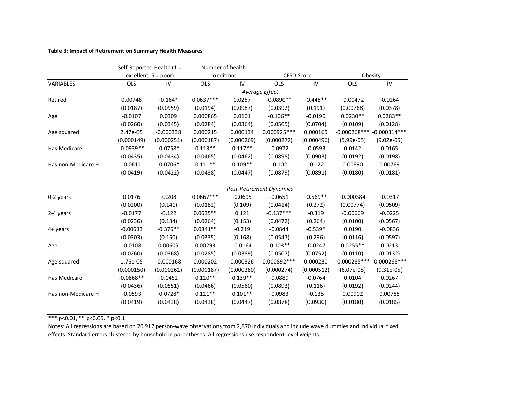### **Table 3: Impact of Retirement on Summary Health Measures**

|                     |             | Self-Reported Health (1 = | Number of health |            |                                 |            |                |                 |
|---------------------|-------------|---------------------------|------------------|------------|---------------------------------|------------|----------------|-----------------|
|                     |             | excellent, $5 = poor$ )   |                  | conditions | <b>CESD Score</b>               |            |                | Obesity         |
| VARIABLES           | <b>OLS</b>  | IV                        | <b>OLS</b>       | IV         | <b>OLS</b>                      | IV         | OLS            | IV              |
|                     |             |                           |                  |            | Average Effect                  |            |                |                 |
| Retired             | 0.00748     | $-0.164*$                 | $0.0637***$      | 0.0257     | $-0.0890**$                     | $-0.448**$ | $-0.00472$     | $-0.0264$       |
|                     | (0.0187)    | (0.0959)                  | (0.0194)         | (0.0987)   | (0.0392)                        | (0.191)    | (0.00768)      | (0.0378)        |
| Age                 | $-0.0107$   | 0.0309                    | 0.000865         | 0.0101     | $-0.106**$                      | $-0.0190$  | $0.0230**$     | $0.0283**$      |
|                     | (0.0260)    | (0.0345)                  | (0.0284)         | (0.0364)   | (0.0505)                        | (0.0704)   | (0.0109)       | (0.0128)        |
| Age squared         | 2.47e-05    | $-0.000338$               | 0.000215         | 0.000134   | 0.000925 ***                    | 0.000165   | $-0.000268***$ | $-0.000314***$  |
|                     | (0.000149)  | (0.000251)                | (0.000187)       | (0.000269) | (0.000272)                      | (0.000496) | $(5.99e-05)$   | $(9.02e-05)$    |
| Has Medicare        | $-0.0939**$ | $-0.0758*$                | $0.113**$        | $0.117**$  | $-0.0972$                       | $-0.0593$  | 0.0142         | 0.0165          |
|                     | (0.0435)    | (0.0434)                  | (0.0465)         | (0.0462)   | (0.0898)                        | (0.0903)   | (0.0192)       | (0.0198)        |
| Has non-Medicare HI | $-0.0611$   | $-0.0706*$                | $0.111**$        | $0.109**$  | $-0.102$                        | $-0.122$   | 0.00890        | 0.00769         |
|                     | (0.0419)    | (0.0422)                  | (0.0438)         | (0.0447)   | (0.0879)                        | (0.0891)   | (0.0180)       | (0.0181)        |
|                     |             |                           |                  |            |                                 |            |                |                 |
|                     |             |                           |                  |            | <b>Post-Retirement Dynamics</b> |            |                |                 |
| 0-2 years           | 0.0176      | $-0.208$                  | $0.0667***$      | $-0.0695$  | $-0.0651$                       | $-0.569**$ | $-0.000384$    | $-0.0317$       |
|                     | (0.0200)    | (0.141)                   | (0.0182)         | (0.109)    | (0.0414)                        | (0.272)    | (0.00774)      | (0.0509)        |
| 2-4 years           | $-0.0177$   | $-0.122$                  | $0.0635**$       | 0.121      | $-0.137***$                     | $-0.319$   | $-0.00669$     | $-0.0225$       |
|                     | (0.0236)    | (0.134)                   | (0.0264)         | (0.153)    | (0.0472)                        | (0.264)    | (0.0100)       | (0.0567)        |
| $4+$ years          | $-0.00613$  | $-0.376**$                | $0.0841**$       | $-0.219$   | $-0.0844$                       | $-0.539*$  | 0.0190         | $-0.0836$       |
|                     | (0.0303)    | (0.150)                   | (0.0335)         | (0.168)    | (0.0547)                        | (0.296)    | (0.0116)       | (0.0597)        |
| Age                 | $-0.0108$   | 0.00605                   | 0.00293          | $-0.0164$  | $-0.103**$                      | $-0.0247$  | $0.0255**$     | 0.0213          |
|                     | (0.0260)    | (0.0368)                  | (0.0285)         | (0.0389)   | (0.0507)                        | (0.0752)   | (0.0110)       | (0.0132)        |
| Age squared         | 1.76e-05    | $-0.000168$               | 0.000202         | 0.000326   | 0.000892 ***                    | 0.000230   | $-0.000285***$ | $-0.000268$ *** |
|                     | (0.000150)  | (0.000261)                | (0.000187)       | (0.000280) | (0.000274)                      | (0.000512) | $(6.07e-05)$   | $(9.31e-05)$    |
| Has Medicare        | $-0.0868**$ | $-0.0452$                 | $0.110**$        | $0.139**$  | $-0.0889$                       | $-0.0764$  | 0.0104         | 0.0267          |
|                     | (0.0436)    | (0.0551)                  | (0.0466)         | (0.0560)   | (0.0893)                        | (0.116)    | (0.0192)       | (0.0244)        |
| Has non-Medicare HI | $-0.0593$   | $-0.0728*$                | $0.111**$        | $0.101**$  | $-0.0983$                       | $-0.135$   | 0.00902        | 0.00788         |
|                     | (0.0419)    | (0.0438)                  | (0.0438)         | (0.0447)   | (0.0878)                        | (0.0930)   | (0.0180)       | (0.0185)        |
|                     |             |                           |                  |            |                                 |            |                |                 |

\*\*\* p<0.01, \*\* p<0.05, \* p<0.1

Notes: All regressions are based on 20,917 person-wave observations from 2,870 individuals and include wave dummies and individual fixed effects. Standard errors clustered by household in parentheses. All regressions use respondent-level weights.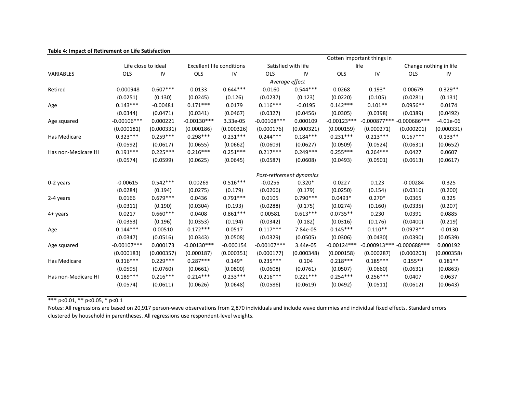|                     | Gotten important things in |            |                                                         |             |                          |            |               |                               |                        |             |
|---------------------|----------------------------|------------|---------------------------------------------------------|-------------|--------------------------|------------|---------------|-------------------------------|------------------------|-------------|
|                     | Life close to ideal        |            | Satisfied with life<br><b>Excellent life conditions</b> |             |                          |            |               | life                          | Change nothing in life |             |
| VARIABLES           | OLS                        | IV         | <b>OLS</b>                                              | ${\sf IV}$  | OLS                      | IV         | OLS           | ${\sf IV}$                    | <b>OLS</b>             | IV          |
|                     |                            |            |                                                         |             | Average effect           |            |               |                               |                        |             |
| Retired             | $-0.000948$                | $0.607***$ | 0.0133                                                  | $0.644***$  | $-0.0160$                | $0.544***$ | 0.0268        | $0.193*$                      | 0.00679                | $0.329**$   |
|                     | (0.0251)                   | (0.130)    | (0.0245)                                                | (0.126)     | (0.0237)                 | (0.123)    | (0.0220)      | (0.105)                       | (0.0281)               | (0.131)     |
| Age                 | $0.143***$                 | $-0.00481$ | $0.171***$                                              | 0.0179      | $0.116***$               | $-0.0195$  | $0.142***$    | $0.101**$                     | $0.0956**$             | 0.0174      |
|                     | (0.0344)                   | (0.0471)   | (0.0341)                                                | (0.0467)    | (0.0327)                 | (0.0456)   | (0.0305)      | (0.0398)                      | (0.0389)               | (0.0492)    |
| Age squared         | $-0.00106***$              | 0.000221   | $-0.00130***$                                           | 3.33e-05    | $-0.00108***$            | 0.000109   | $-0.00123***$ | $-0.000877***$ $-0.000686***$ |                        | $-4.01e-06$ |
|                     | (0.000181)                 | (0.000331) | (0.000186)                                              | (0.000326)  | (0.000176)               | (0.000321) | (0.000159)    | (0.000271)                    | (0.000201)             | (0.000331)  |
| Has Medicare        | $0.323***$                 | $0.259***$ | $0.298***$                                              | $0.231***$  | $0.244***$               | $0.184***$ | $0.231***$    | $0.213***$                    | $0.167***$             | $0.133**$   |
|                     | (0.0592)                   | (0.0617)   | (0.0655)                                                | (0.0662)    | (0.0609)                 | (0.0627)   | (0.0509)      | (0.0524)                      | (0.0631)               | (0.0652)    |
| Has non-Medicare HI | $0.191***$                 | $0.225***$ | $0.216***$                                              | $0.251***$  | $0.217***$               | $0.249***$ | $0.255***$    | $0.264***$                    | 0.0427                 | 0.0607      |
|                     | (0.0574)                   | (0.0599)   | (0.0625)                                                | (0.0645)    | (0.0587)                 | (0.0608)   | (0.0493)      | (0.0501)                      | (0.0613)               | (0.0617)    |
|                     |                            |            |                                                         |             |                          |            |               |                               |                        |             |
|                     |                            |            |                                                         |             | Post-retirement dynamics |            |               |                               |                        |             |
| 0-2 years           | $-0.00615$                 | $0.542***$ | 0.00269                                                 | $0.516***$  | $-0.0256$                | $0.320*$   | 0.0227        | 0.123                         | $-0.00284$             | 0.325       |
|                     | (0.0284)                   | (0.194)    | (0.0275)                                                | (0.179)     | (0.0266)                 | (0.179)    | (0.0250)      | (0.154)                       | (0.0316)               | (0.200)     |
| 2-4 years           | 0.0166                     | $0.679***$ | 0.0436                                                  | $0.791***$  | 0.0105                   | $0.790***$ | $0.0493*$     | $0.270*$                      | 0.0365                 | 0.325       |
|                     | (0.0311)                   | (0.190)    | (0.0304)                                                | (0.193)     | (0.0288)                 | (0.175)    | (0.0274)      | (0.160)                       | (0.0335)               | (0.207)     |
| 4+ years            | 0.0217                     | $0.660***$ | 0.0408                                                  | $0.861***$  | 0.00581                  | $0.613***$ | $0.0735**$    | 0.230                         | 0.0391                 | 0.0885      |
|                     | (0.0353)                   | (0.196)    | (0.0353)                                                | (0.194)     | (0.0342)                 | (0.182)    | (0.0316)      | (0.176)                       | (0.0400)               | (0.219)     |
| Age                 | $0.144***$                 | 0.00510    | $0.172***$                                              | 0.0517      | $0.117***$               | 7.84e-05   | $0.145***$    | $0.110**$                     | $0.0973**$             | $-0.0130$   |
|                     | (0.0347)                   | (0.0516)   | (0.0343)                                                | (0.0508)    | (0.0329)                 | (0.0505)   | (0.0306)      | (0.0430)                      | (0.0390)               | (0.0539)    |
| Age squared         | $-0.00107***$              | 0.000173   | $-0.00130***$                                           | $-0.000154$ | $-0.00107***$            | 3.44e-05   | $-0.00124***$ | $-0.000913***$                | $-0.000688***$         | 0.000192    |
|                     | (0.000183)                 | (0.000357) | (0.000187)                                              | (0.000351)  | (0.000177)               | (0.000348) | (0.000158)    | (0.000287)                    | (0.000203)             | (0.000358)  |
| Has Medicare        | $0.316***$                 | $0.229***$ | $0.287***$                                              | $0.149*$    | $0.235***$               | 0.104      | $0.218***$    | $0.185***$                    | $0.155**$              | $0.181**$   |
|                     | (0.0595)                   | (0.0760)   | (0.0661)                                                | (0.0800)    | (0.0608)                 | (0.0761)   | (0.0507)      | (0.0660)                      | (0.0631)               | (0.0863)    |
| Has non-Medicare HI | $0.189***$                 | $0.216***$ | $0.214***$                                              | $0.233***$  | $0.216***$               | $0.221***$ | $0.254***$    | $0.256***$                    | 0.0407                 | 0.0637      |
|                     | (0.0574)                   | (0.0611)   | (0.0626)                                                | (0.0648)    | (0.0586)                 | (0.0619)   | (0.0492)      | (0.0511)                      | (0.0612)               | (0.0643)    |
|                     |                            |            |                                                         |             |                          |            |               |                               |                        |             |

## **Table 4: Impact of Retirement on Life Satisfaction**

\*\*\* p<0.01, \*\* p<0.05, \* p<0.1

Notes: All regressions are based on 20,917 person-wave observations from 2,870 individuals and include wave dummies and individual fixed effects. Standard errors clustered by household in parentheses. All regressions use respondent-level weights.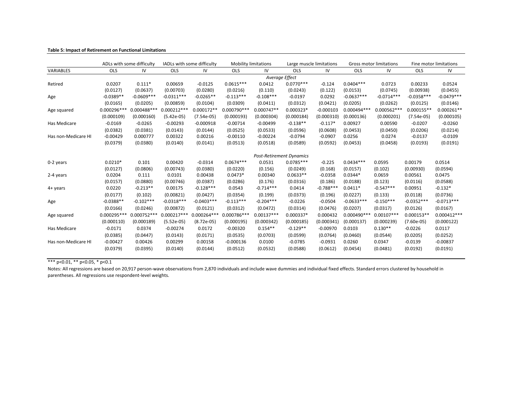|                     |               | ADLs with some difficulty |               | IADLs with some difficulty | <b>Mobility limitations</b> |                                 | Large muscle limitations |             |               | Gross motor limitations |              | Fine motor limitations |
|---------------------|---------------|---------------------------|---------------|----------------------------|-----------------------------|---------------------------------|--------------------------|-------------|---------------|-------------------------|--------------|------------------------|
| VARIABLES           | <b>OLS</b>    | IV                        | <b>OLS</b>    | IV                         | <b>OLS</b>                  | IV                              | <b>OLS</b>               | IV          | OLS           | IV                      | <b>OLS</b>   | IV                     |
|                     |               |                           |               |                            |                             | Average Effect                  |                          |             |               |                         |              |                        |
| Retired             | 0.0207        | $0.111*$                  | 0.00659       | $-0.0125$                  | $0.0615***$                 | 0.0412                          | $0.0770***$              | $-0.124$    | $0.0404***$   | 0.0723                  | 0.00233      | 0.0524                 |
|                     | (0.0127)      | (0.0637)                  | (0.00703)     | (0.0280)                   | (0.0216)                    | (0.110)                         | (0.0243)                 | (0.122)     | (0.0153)      | (0.0745)                | (0.00938)    | (0.0455)               |
| Age                 | $-0.0389**$   | $-0.0609***$              | $-0.0311***$  | $-0.0265**$                | $-0.113***$                 | $-0.108***$                     | $-0.0197$                | 0.0292      | $-0.0637***$  | $-0.0714***$            | $-0.0358***$ | $-0.0479***$           |
|                     | (0.0165)      | (0.0205)                  | (0.00859)     | (0.0104)                   | (0.0309)                    | (0.0411)                        | (0.0312)                 | (0.0421)    | (0.0205)      | (0.0262)                | (0.0125)     | (0.0146)               |
| Age squared         | $0.000296**$  | 0.000488***               | $0.000212***$ | $0.000172**$               | 0.000790 ***                | $0.000747**$                    | 0.000323*                | $-0.000103$ | $0.000494***$ | 0.000562 ***            | $0.000155**$ | $0.000261**$           |
|                     | (0.000109)    | (0.000160)                | $(5.42e-05)$  | $(7.54e-05)$               | (0.000193)                  | (0.000304)                      | (0.000184)               | (0.000310)  | (0.000136)    | (0.000201)              | $(7.54e-05)$ | (0.000105)             |
| Has Medicare        | $-0.0169$     | $-0.0265$                 | $-0.00293$    | $-0.000918$                | $-0.00714$                  | $-0.00499$                      | $-0.138**$               | $-0.117*$   | 0.00927       | 0.00590                 | $-0.0207$    | $-0.0260$              |
|                     | (0.0382)      | (0.0381)                  | (0.0143)      | (0.0144)                   | (0.0525)                    | (0.0533)                        | (0.0596)                 | (0.0608)    | (0.0453)      | (0.0450)                | (0.0206)     | (0.0214)               |
| Has non-Medicare HI | $-0.00429$    | 0.000777                  | 0.00322       | 0.00216                    | $-0.00110$                  | $-0.00224$                      | $-0.0794$                | $-0.0907$   | 0.0256        | 0.0274                  | $-0.0137$    | $-0.0109$              |
|                     | (0.0379)      | (0.0380)                  | (0.0140)      | (0.0141)                   | (0.0513)                    | (0.0518)                        | (0.0589)                 | (0.0592)    | (0.0453)      | (0.0458)                | (0.0193)     | (0.0191)               |
|                     |               |                           |               |                            |                             |                                 |                          |             |               |                         |              |                        |
|                     |               |                           |               |                            |                             | <b>Post-Retirement Dynamics</b> |                          |             |               |                         |              |                        |
| 0-2 years           | $0.0210*$     | 0.101                     | 0.00420       | $-0.0314$                  | $0.0674***$                 | 0.0531                          | $0.0785***$              | $-0.225$    | $0.0434***$   | 0.0595                  | 0.00179      | 0.0514                 |
|                     | (0.0127)      | (0.0806)                  | (0.00743)     | (0.0380)                   | (0.0220)                    | (0.156)                         | (0.0249)                 | (0.168)     | (0.0157)      | (0.102)                 | (0.00930)    | (0.0594)               |
| 2-4 years           | 0.0204        | 0.111                     | 0.0101        | 0.00438                    | $0.0473*$                   | 0.00340                         | $0.0633**$               | $-0.0358$   | $0.0344*$     | 0.0659                  | 0.00561      | 0.0475                 |
|                     | (0.0157)      | (0.0880)                  | (0.00746)     | (0.0387)                   | (0.0286)                    | (0.176)                         | (0.0316)                 | (0.186)     | (0.0188)      | (0.123)                 | (0.0116)     | (0.0588)               |
| $4 + \gamma$ ears   | 0.0220        | $-0.213**$                | 0.00175       | $-0.128***$                | 0.0543                      | $-0.714***$                     | 0.0414                   | $-0.788***$ | $0.0411*$     | $-0.547***$             | 0.00951      | $-0.132*$              |
|                     | (0.0177)      | (0.102)                   | (0.00821)     | (0.0427)                   | (0.0354)                    | (0.199)                         | (0.0373)                 | (0.196)     | (0.0227)      | (0.133)                 | (0.0118)     | (0.0736)               |
| Age                 | $-0.0388**$   | $-0.102***$               | $-0.0318***$  | $-0.0403***$               | $-0.113***$                 | $-0.204***$                     | $-0.0226$                | $-0.0504$   | $-0.0633***$  | $-0.150***$             | $-0.0352***$ | $-0.0713***$           |
|                     | (0.0166)      | (0.0246)                  | (0.00872)     | (0.0121)                   | (0.0312)                    | (0.0472)                        | (0.0314)                 | (0.0476)    | (0.0207)      | (0.0317)                | (0.0126)     | (0.0167)               |
| Age squared         | $0.000295***$ | 0.000752 ***              | $0.000217***$ | $0.000264***$              | 0.000786***                 | $0.00137***$                    | 0.000337*                | 0.000432    | $0.000490***$ | $0.00107***$            | $0.000153**$ | $0.000412***$          |
|                     | (0.000110)    | (0.000189)                | $(5.52e-05)$  | $(8.72e-05)$               | (0.000195)                  | (0.000342)                      | (0.000185)               | (0.000341)  | (0.000137)    | (0.000239)              | $(7.60e-05)$ | (0.000122)             |
| Has Medicare        | $-0.0171$     | 0.0374                    | $-0.00274$    | 0.0172                     | $-0.00320$                  | $0.154**$                       | $-0.129**$               | $-0.00970$  | 0.0103        | $0.130**$               | $-0.0226$    | 0.0117                 |
|                     | (0.0385)      | (0.0447)                  | (0.0143)      | (0.0171)                   | (0.0535)                    | (0.0703)                        | (0.0599)                 | (0.0764)    | (0.0460)      | (0.0544)                | (0.0205)     | (0.0252)               |
| Has non-Medicare HI | $-0.00427$    | 0.00426                   | 0.00299       | 0.00158                    | $-0.000136$                 | 0.0100                          | $-0.0785$                | $-0.0931$   | 0.0260        | 0.0347                  | $-0.0139$    | $-0.00837$             |
|                     | (0.0379)      | (0.0395)                  | (0.0140)      | (0.0144)                   | (0.0512)                    | (0.0532)                        | (0.0588)                 | (0.0612)    | (0.0454)      | (0.0481)                | (0.0192)     | (0.0191)               |

#### **Table 5: Impact of Retirement on Functional Limitations**

\*\*\* p<0.01, \*\* p<0.05, \* p<0.1

Notes: All regressions are based on 20,917 person-wave observations from 2,870 individuals and include wave dummies and individual fixed effects. Standard errors clustered by household in parentheses. All regressions use respondent-level weights.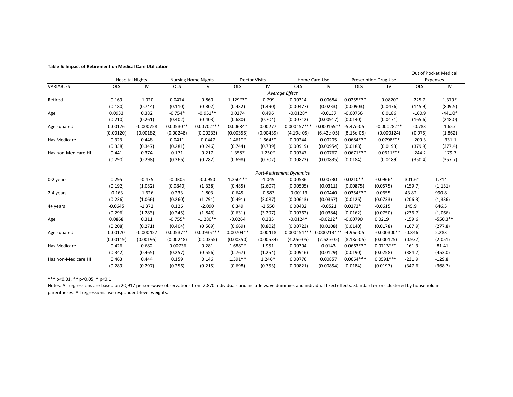|                     |                |                        |             |                            |             |                      |                                 |               |              |                              |            | Out of Pocket Medical |
|---------------------|----------------|------------------------|-------------|----------------------------|-------------|----------------------|---------------------------------|---------------|--------------|------------------------------|------------|-----------------------|
|                     |                | <b>Hospital Nights</b> |             | <b>Nursing Home Nights</b> |             | <b>Doctor Visits</b> |                                 | Home Care Use |              | <b>Prescription Drug Use</b> |            | Expenses              |
| VARIABLES           | <b>OLS</b>     | IV                     | <b>OLS</b>  | IV                         | <b>OLS</b>  | IV                   | <b>OLS</b>                      | IV            | <b>OLS</b>   | IV                           | <b>OLS</b> | IV                    |
|                     | Average Effect |                        |             |                            |             |                      |                                 |               |              |                              |            |                       |
| Retired             | 0.169          | $-1.020$               | 0.0474      | 0.860                      | $1.129***$  | $-0.799$             | 0.00314                         | 0.00684       | $0.0255***$  | $-0.0820*$                   | 225.7      | 1,379*                |
|                     | (0.180)        | (0.744)                | (0.110)     | (0.802)                    | (0.432)     | (1.490)              | (0.00477)                       | (0.0233)      | (0.00903)    | (0.0476)                     | (145.9)    | (809.5)               |
| Age                 | 0.0933         | 0.382                  | $-0.754*$   | $-0.951**$                 | 0.0274      | 0.496                | $-0.0128*$                      | $-0.0137$     | $-0.00756$   | 0.0186                       | $-160.9$   | $-441.0*$             |
|                     | (0.210)        | (0.261)                | (0.402)     | (0.403)                    | (0.680)     | (0.704)              | (0.00712)                       | (0.00917)     | (0.0140)     | (0.0171)                     | (165.6)    | (248.0)               |
| Age squared         | 0.00176        | $-0.000758$            | $0.00530**$ | $0.00702***$               | $0.00684*$  | 0.00277              | $0.000157***$                   | $0.000165**$  | $-5.47e-05$  | $-0.000282**$                | $-0.783$   | 1.657                 |
|                     | (0.00120)      | (0.00182)              | (0.00248)   | (0.00233)                  | (0.00355)   | (0.00439)            | $(4.19e-05)$                    | $(6.42e-05)$  | $(8.15e-05)$ | (0.000124)                   | (0.975)    | (1.862)               |
| Has Medicare        | 0.323          | 0.448                  | 0.0411      | $-0.0447$                  | $1.461**$   | $1.664**$            | 0.00244                         | 0.00205       | $0.0684***$  | $0.0798***$                  | $-209.3$   | $-331.1$              |
|                     | (0.338)        | (0.347)                | (0.281)     | (0.246)                    | (0.744)     | (0.739)              | (0.00919)                       | (0.00954)     | (0.0188)     | (0.0193)                     | (379.9)    | (377.4)               |
| Has non-Medicare HI | 0.441          | 0.374                  | 0.171       | 0.217                      | 1.358*      | 1.250*               | 0.00747                         | 0.00767       | $0.0671***$  | $0.0611***$                  | $-244.2$   | $-179.7$              |
|                     | (0.290)        | (0.298)                | (0.266)     | (0.282)                    | (0.698)     | (0.702)              | (0.00822)                       | (0.00835)     | (0.0184)     | (0.0189)                     | (350.4)    | (357.7)               |
|                     |                |                        |             |                            |             |                      |                                 |               |              |                              |            |                       |
|                     |                |                        |             |                            |             |                      | <b>Post-Retirement Dynamics</b> |               |              |                              |            |                       |
| 0-2 years           | 0.295          | $-0.475$               | $-0.0305$   | $-0.0950$                  | $1.250***$  | $-1.049$             | 0.00536                         | 0.00730       | $0.0210**$   | $-0.0966*$                   | 301.6*     | 1,714                 |
|                     | (0.192)        | (1.082)                | (0.0840)    | (1.338)                    | (0.485)     | (2.607)              | (0.00505)                       | (0.0311)      | (0.00875)    | (0.0575)                     | (159.7)    | (1, 131)              |
| 2-4 years           | $-0.163$       | $-1.626$               | 0.233       | 1.803                      | 0.645       | $-0.583$             | $-0.00113$                      | 0.00440       | $0.0354***$  | $-0.0655$                    | 43.82      | 990.8                 |
|                     | (0.236)        | (1.066)                | (0.260)     | (1.791)                    | (0.491)     | (3.087)              | (0.00613)                       | (0.0367)      | (0.0126)     | (0.0733)                     | (206.3)    | (1, 336)              |
| 4+ years            | $-0.0645$      | $-1.372$               | 0.126       | $-2.090$                   | 0.349       | $-2.550$             | 0.00432                         | $-0.0521$     | $0.0272*$    | $-0.0615$                    | 145.9      | 646.5                 |
|                     | (0.296)        | (1.283)                | (0.245)     | (1.846)                    | (0.631)     | (3.297)              | (0.00762)                       | (0.0384)      | (0.0162)     | (0.0750)                     | (236.7)    | (1,066)               |
| Age                 | 0.0868         | 0.311                  | $-0.755*$   | $-1.280**$                 | $-0.0264$   | 0.285                | $-0.0124*$                      | $-0.0212*$    | $-0.00790$   | 0.0219                       | $-159.6$   | $-550.3**$            |
|                     | (0.208)        | (0.271)                | (0.404)     | (0.569)                    | (0.669)     | (0.802)              | (0.00723)                       | (0.0108)      | (0.0140)     | (0.0178)                     | (167.9)    | (277.8)               |
| Age squared         | 0.00170        | $-0.000427$            | $0.00537**$ | 0.00935 ***                | $0.00704**$ | 0.00418              | $0.000154***$                   | $0.000213**$  | $-4.96e-05$  | $-0.000300**$                | $-0.846$   | 2.283                 |
|                     | (0.00119)      | (0.00195)              | (0.00248)   | (0.00355)                  | (0.00350)   | (0.00534)            | $(4.25e-05)$                    | $(7.62e-05)$  | $(8.18e-05)$ | (0.000125)                   | (0.977)    | (2.051)               |
| Has Medicare        | 0.426          | 0.682                  | $-0.00736$  | 0.281                      | $1.688**$   | 1.951                | 0.00304                         | 0.0143        | $0.0663***$  | $0.0713***$                  | $-161.3$   | $-81.41$              |
|                     | (0.342)        | (0.465)                | (0.257)     | (0.556)                    | (0.767)     | (1.254)              | (0.00916)                       | (0.0129)      | (0.0190)     | (0.0258)                     | (384.7)    | (453.0)               |
| Has non-Medicare HI | 0.463          | 0.444                  | 0.159       | 0.146                      | $1.391**$   | 1.246*               | 0.00776                         | 0.00857       | $0.0664***$  | $0.0591***$                  | $-231.9$   | $-129.8$              |
|                     | (0.289)        | (0.297)                | (0.256)     | (0.215)                    | (0.698)     | (0.753)              | (0.00821)                       | (0.00854)     | (0.0184)     | (0.0197)                     | (347.6)    | (368.7)               |
|                     |                |                        |             |                            |             |                      |                                 |               |              |                              |            |                       |

#### **Table 6: Impact of Retirement on Medical Care Utilization**

\*\*\* p<0.01, \*\* p<0.05, \* p<0.1

Notes: All regressions are based on 20,917 person-wave observations from 2,870 individuals and include wave dummies and individual fixed effects. Standard errors clustered by household in parentheses. All regressions use respondent-level weights.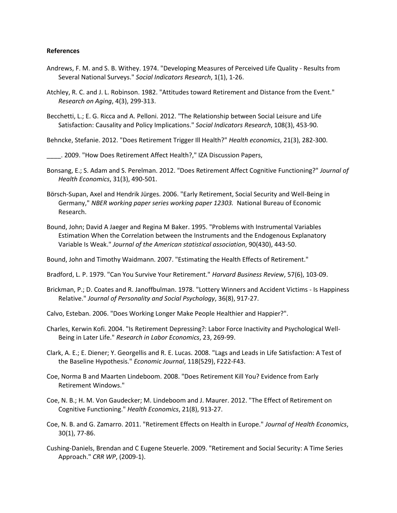### **References**

- Andrews, F. M. and S. B. Withey. 1974. "Developing Measures of Perceived Life Quality Results from Several National Surveys." *Social Indicators Research*, 1(1), 1-26.
- Atchley, R. C. and J. L. Robinson. 1982. "Attitudes toward Retirement and Distance from the Event." *Research on Aging*, 4(3), 299-313.
- Becchetti, L.; E. G. Ricca and A. Pelloni. 2012. "The Relationship between Social Leisure and Life Satisfaction: Causality and Policy Implications." *Social Indicators Research*, 108(3), 453-90.

Behncke, Stefanie. 2012. "Does Retirement Trigger Ill Health?" *Health economics*, 21(3), 282-300.

\_\_\_\_. 2009. "How Does Retirement Affect Health?," IZA Discussion Papers,

- Bonsang, E.; S. Adam and S. Perelman. 2012. "Does Retirement Affect Cognitive Functioning?" *Journal of Health Economics*, 31(3), 490-501.
- Börsch-Supan, Axel and Hendrik Jürges. 2006. "Early Retirement, Social Security and Well-Being in Germany," *NBER working paper series working paper 12303.* National Bureau of Economic Research.
- Bound, John; David A Jaeger and Regina M Baker. 1995. "Problems with Instrumental Variables Estimation When the Correlation between the Instruments and the Endogenous Explanatory Variable Is Weak." *Journal of the American statistical association*, 90(430), 443-50.

Bound, John and Timothy Waidmann. 2007. "Estimating the Health Effects of Retirement."

Bradford, L. P. 1979. "Can You Survive Your Retirement." *Harvard Business Review*, 57(6), 103-09.

- Brickman, P.; D. Coates and R. Janoffbulman. 1978. "Lottery Winners and Accident Victims Is Happiness Relative." *Journal of Personality and Social Psychology*, 36(8), 917-27.
- Calvo, Esteban. 2006. "Does Working Longer Make People Healthier and Happier?".
- Charles, Kerwin Kofi. 2004. "Is Retirement Depressing?: Labor Force Inactivity and Psychological Well-Being in Later Life." *Research in Labor Economics*, 23, 269-99.
- Clark, A. E.; E. Diener; Y. Georgellis and R. E. Lucas. 2008. "Lags and Leads in Life Satisfaction: A Test of the Baseline Hypothesis." *Economic Journal*, 118(529), F222-F43.
- Coe, Norma B and Maarten Lindeboom. 2008. "Does Retirement Kill You? Evidence from Early Retirement Windows."
- Coe, N. B.; H. M. Von Gaudecker; M. Lindeboom and J. Maurer. 2012. "The Effect of Retirement on Cognitive Functioning." *Health Economics*, 21(8), 913-27.
- Coe, N. B. and G. Zamarro. 2011. "Retirement Effects on Health in Europe." *Journal of Health Economics*, 30(1), 77-86.
- Cushing-Daniels, Brendan and C Eugene Steuerle. 2009. "Retirement and Social Security: A Time Series Approach." *CRR WP*, (2009-1).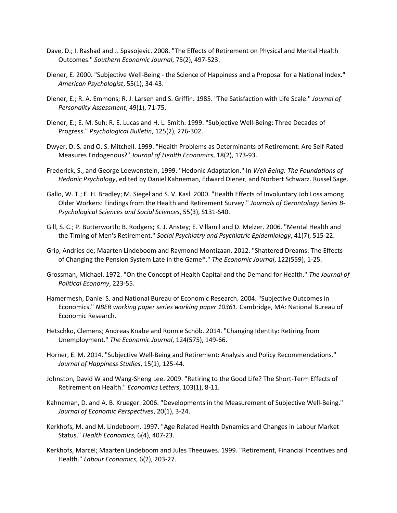- Dave, D.; I. Rashad and J. Spasojevic. 2008. "The Effects of Retirement on Physical and Mental Health Outcomes." *Southern Economic Journal*, 75(2), 497-523.
- Diener, E. 2000. "Subjective Well-Being the Science of Happiness and a Proposal for a National Index." *American Psychologist*, 55(1), 34-43.
- Diener, E.; R. A. Emmons; R. J. Larsen and S. Griffin. 1985. "The Satisfaction with Life Scale." *Journal of Personality Assessment*, 49(1), 71-75.
- Diener, E.; E. M. Suh; R. E. Lucas and H. L. Smith. 1999. "Subjective Well-Being: Three Decades of Progress." *Psychological Bulletin*, 125(2), 276-302.
- Dwyer, D. S. and O. S. Mitchell. 1999. "Health Problems as Determinants of Retirement: Are Self-Rated Measures Endogenous?" *Journal of Health Economics*, 18(2), 173-93.
- Frederick, S., and George Loewenstein, 1999. "Hedonic Adaptation." In *Well Being: The Foundations of Hedonic Psychology*, edited by Daniel Kahneman, Edward Diener, and Norbert Schwarz. Russel Sage.
- Gallo, W. T.; E. H. Bradley; M. Siegel and S. V. Kasl. 2000. "Health Effects of Involuntary Job Loss among Older Workers: Findings from the Health and Retirement Survey." *Journals of Gerontology Series B-Psychological Sciences and Social Sciences*, 55(3), S131-S40.
- Gill, S. C.; P. Butterworth; B. Rodgers; K. J. Anstey; E. Villamil and D. Melzer. 2006. "Mental Health and the Timing of Men's Retirement." *Social Psychiatry and Psychiatric Epidemiology*, 41(7), 515-22.
- Grip, Andries de; Maarten Lindeboom and Raymond Montizaan. 2012. "Shattered Dreams: The Effects of Changing the Pension System Late in the Game\*." *The Economic Journal*, 122(559), 1-25.
- Grossman, Michael. 1972. "On the Concept of Health Capital and the Demand for Health." *The Journal of Political Economy*, 223-55.
- Hamermesh, Daniel S. and National Bureau of Economic Research. 2004. "Subjective Outcomes in Economics," *NBER working paper series working paper 10361.* Cambridge, MA: National Bureau of Economic Research.
- Hetschko, Clemens; Andreas Knabe and Ronnie Schöb. 2014. "Changing Identity: Retiring from Unemployment." *The Economic Journal*, 124(575), 149-66.
- Horner, E. M. 2014. "Subjective Well-Being and Retirement: Analysis and Policy Recommendations." *Journal of Happiness Studies*, 15(1), 125-44.
- Johnston, David W and Wang-Sheng Lee. 2009. "Retiring to the Good Life? The Short-Term Effects of Retirement on Health." *Economics Letters*, 103(1), 8-11.
- Kahneman, D. and A. B. Krueger. 2006. "Developments in the Measurement of Subjective Well-Being." *Journal of Economic Perspectives*, 20(1), 3-24.
- Kerkhofs, M. and M. Lindeboom. 1997. "Age Related Health Dynamics and Changes in Labour Market Status." *Health Economics*, 6(4), 407-23.
- Kerkhofs, Marcel; Maarten Lindeboom and Jules Theeuwes. 1999. "Retirement, Financial Incentives and Health." *Labour Economics*, 6(2), 203-27.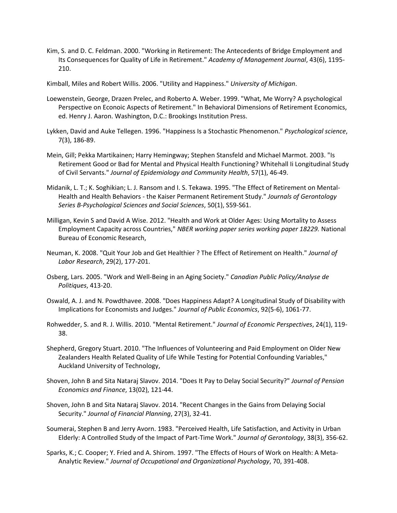Kim, S. and D. C. Feldman. 2000. "Working in Retirement: The Antecedents of Bridge Employment and Its Consequences for Quality of Life in Retirement." *Academy of Management Journal*, 43(6), 1195- 210.

Kimball, Miles and Robert Willis. 2006. "Utility and Happiness." *University of Michigan*.

- Loewenstein, George, Drazen Prelec, and Roberto A. Weber. 1999. "What, Me Worry? A psychological Perspective on Econoic Aspects of Retirement." In Behavioral Dimensions of Retirement Economics, ed. Henry J. Aaron. Washington, D.C.: Brookings Institution Press.
- Lykken, David and Auke Tellegen. 1996. "Happiness Is a Stochastic Phenomenon." *Psychological science*, 7(3), 186-89.
- Mein, Gill; Pekka Martikainen; Harry Hemingway; Stephen Stansfeld and Michael Marmot. 2003. "Is Retirement Good or Bad for Mental and Physical Health Functioning? Whitehall Ii Longitudinal Study of Civil Servants." *Journal of Epidemiology and Community Health*, 57(1), 46-49.
- Midanik, L. T.; K. Soghikian; L. J. Ransom and I. S. Tekawa. 1995. "The Effect of Retirement on Mental-Health and Health Behaviors - the Kaiser Permanent Retirement Study." *Journals of Gerontology Series B-Psychological Sciences and Social Sciences*, 50(1), S59-S61.
- Milligan, Kevin S and David A Wise. 2012. "Health and Work at Older Ages: Using Mortality to Assess Employment Capacity across Countries," *NBER working paper series working paper 18229.* National Bureau of Economic Research,
- Neuman, K. 2008. "Quit Your Job and Get Healthier ? The Effect of Retirement on Health." *Journal of Labor Research*, 29(2), 177-201.
- Osberg, Lars. 2005. "Work and Well-Being in an Aging Society." *Canadian Public Policy/Analyse de Politiques*, 413-20.
- Oswald, A. J. and N. Powdthavee. 2008. "Does Happiness Adapt? A Longitudinal Study of Disability with Implications for Economists and Judges." *Journal of Public Economics*, 92(5-6), 1061-77.
- Rohwedder, S. and R. J. Willis. 2010. "Mental Retirement." *Journal of Economic Perspectives*, 24(1), 119- 38.
- Shepherd, Gregory Stuart. 2010. "The Influences of Volunteering and Paid Employment on Older New Zealanders Health Related Quality of Life While Testing for Potential Confounding Variables," Auckland University of Technology,
- Shoven, John B and Sita Nataraj Slavov. 2014. "Does It Pay to Delay Social Security?" *Journal of Pension Economics and Finance*, 13(02), 121-44.
- Shoven, John B and Sita Nataraj Slavov. 2014. "Recent Changes in the Gains from Delaying Social Security." *Journal of Financial Planning*, 27(3), 32-41.
- Soumerai, Stephen B and Jerry Avorn. 1983. "Perceived Health, Life Satisfaction, and Activity in Urban Elderly: A Controlled Study of the Impact of Part-Time Work." *Journal of Gerontology*, 38(3), 356-62.
- Sparks, K.; C. Cooper; Y. Fried and A. Shirom. 1997. "The Effects of Hours of Work on Health: A Meta-Analytic Review." *Journal of Occupational and Organizational Psychology*, 70, 391-408.